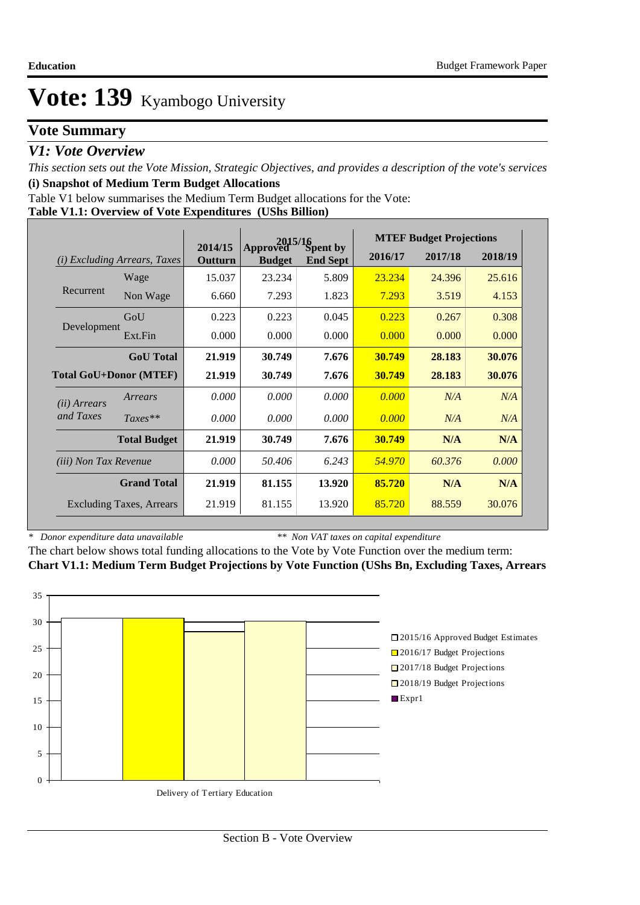### **Vote Summary**

### *V1: Vote Overview*

*This section sets out the Vote Mission, Strategic Objectives, and provides a description of the vote's services* **(i) Snapshot of Medium Term Budget Allocations** 

Table V1 below summarises the Medium Term Budget allocations for the Vote:

**Table V1.1: Overview of Vote Expenditures (UShs Billion)**

|                       |                                 |                    | 2015/16                   |                                    |         | <b>MTEF Budget Projections</b> |         |
|-----------------------|---------------------------------|--------------------|---------------------------|------------------------------------|---------|--------------------------------|---------|
| (i)                   | <b>Excluding Arrears, Taxes</b> | 2014/15<br>Outturn | Approved<br><b>Budget</b> | <b>Spent by</b><br><b>End Sept</b> | 2016/17 | 2017/18                        | 2018/19 |
|                       | Wage                            | 15.037             | 23.234                    | 5.809                              | 23.234  | 24.396                         | 25.616  |
| Recurrent             | Non Wage                        | 6.660              | 7.293                     | 1.823                              | 7.293   | 3.519                          | 4.153   |
|                       | GoU                             | 0.223              | 0.223                     | 0.045                              | 0.223   | 0.267                          | 0.308   |
| Development           | Ext.Fin                         | 0.000              | 0.000                     | 0.000                              | 0.000   | 0.000                          | 0.000   |
|                       | <b>GoU</b> Total                | 21.919             | 30.749                    | 7.676                              | 30.749  | 28.183                         | 30.076  |
|                       | <b>Total GoU+Donor (MTEF)</b>   | 21.919             | 30.749                    | 7.676                              | 30.749  | 28.183                         | 30.076  |
| ( <i>ii</i> ) Arrears | Arrears                         | 0.000              | 0.000                     | 0.000                              | 0.000   | N/A                            | N/A     |
| and Taxes             | $Taxes**$                       | 0.000              | 0.000                     | 0.000                              | 0.000   | N/A                            | N/A     |
|                       | <b>Total Budget</b>             | 21.919             | 30.749                    | 7.676                              | 30.749  | N/A                            | N/A     |
| (iii) Non Tax Revenue |                                 | 0.000              | 50.406                    | 6.243                              | 54.970  | 60.376                         | 0.000   |
|                       | <b>Grand Total</b>              | 21.919             | 81.155                    | 13.920                             | 85.720  | N/A                            | N/A     |
|                       | <b>Excluding Taxes, Arrears</b> | 21.919             | 81.155                    | 13.920                             | 85.720  | 88.559                         | 30.076  |

*\* Donor expenditure data unavailable*

*\*\* Non VAT taxes on capital expenditure*

The chart below shows total funding allocations to the Vote by Vote Function over the medium term: **Chart V1.1: Medium Term Budget Projections by Vote Function (UShs Bn, Excluding Taxes, Arrears**

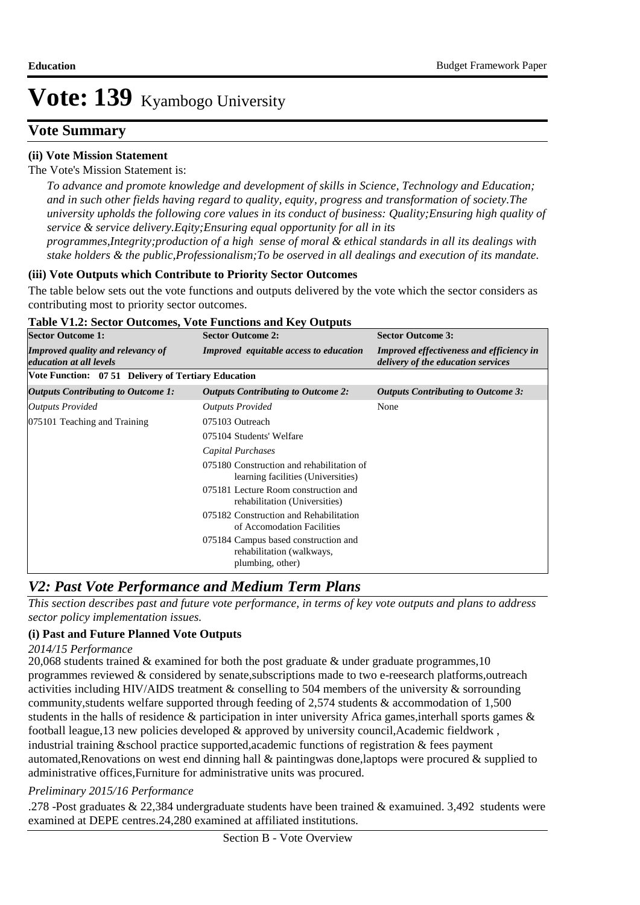### **Vote Summary**

#### **(ii) Vote Mission Statement**

The Vote's Mission Statement is:

*To advance and promote knowledge and development of skills in Science, Technology and Education; and in such other fields having regard to quality, equity, progress and transformation of society.The university upholds the following core values in its conduct of business: Quality;Ensuring high quality of service & service delivery.Eqity;Ensuring equal opportunity for all in its programmes,Integrity;production of a high sense of moral & ethical standards in all its dealings with* 

*stake holders & the public,Professionalism;To be oserved in all dealings and execution of its mandate.*

#### **(iii) Vote Outputs which Contribute to Priority Sector Outcomes**

The table below sets out the vote functions and outputs delivered by the vote which the sector considers as contributing most to priority sector outcomes.

| <b>Sector Outcome 1:</b>                                                   | <b>Sector Outcome 2:</b>                                                              | <b>Sector Outcome 3:</b>                                                              |
|----------------------------------------------------------------------------|---------------------------------------------------------------------------------------|---------------------------------------------------------------------------------------|
| <b>Improved quality and relevancy of</b><br><i>education at all levels</i> | <b>Improved</b> equitable access to education                                         | <b>Improved effectiveness and efficiency in</b><br>delivery of the education services |
| Vote Function: 07 51 Delivery of Tertiary Education                        |                                                                                       |                                                                                       |
| <b>Outputs Contributing to Outcome 1:</b>                                  | <b>Outputs Contributing to Outcome 2:</b>                                             | <b>Outputs Contributing to Outcome 3:</b>                                             |
| <b>Outputs Provided</b>                                                    | <b>Outputs Provided</b>                                                               | None                                                                                  |
| 075101 Teaching and Training                                               | 075103 Outreach                                                                       |                                                                                       |
|                                                                            | 075104 Students' Welfare                                                              |                                                                                       |
|                                                                            | Capital Purchases                                                                     |                                                                                       |
|                                                                            | 075180 Construction and rehabilitation of<br>learning facilities (Universities)       |                                                                                       |
|                                                                            | 075181 Lecture Room construction and<br>rehabilitation (Universities)                 |                                                                                       |
|                                                                            | 075182 Construction and Rehabilitation<br>of Accomodation Facilities                  |                                                                                       |
|                                                                            | 075184 Campus based construction and<br>rehabilitation (walkways,<br>plumbing, other) |                                                                                       |

#### **Table V1.2: Sector Outcomes, Vote Functions and Key Outputs**

## *V2: Past Vote Performance and Medium Term Plans*

*This section describes past and future vote performance, in terms of key vote outputs and plans to address sector policy implementation issues.* 

#### **(i) Past and Future Planned Vote Outputs**

#### *2014/15 Performance*

20,068 students trained  $&$  examined for both the post graduate  $&$  under graduate programmes,10 programmes reviewed & considered by senate,subscriptions made to two e-reesearch platforms,outreach activities including HIV/AIDS treatment & conselling to 504 members of the university & sorrounding community,students welfare supported through feeding of 2,574 students & accommodation of 1,500 students in the halls of residence & participation in inter university Africa games,interhall sports games & football league,13 new policies developed & approved by university council,Academic fieldwork , industrial training &school practice supported,academic functions of registration & fees payment automated,Renovations on west end dinning hall & paintingwas done,laptops were procured & supplied to administrative offices,Furniture for administrative units was procured.

#### *Preliminary 2015/16 Performance*

.278 -Post graduates & 22,384 undergraduate students have been trained & examuined. 3,492 students were examined at DEPE centres.24,280 examined at affiliated institutions.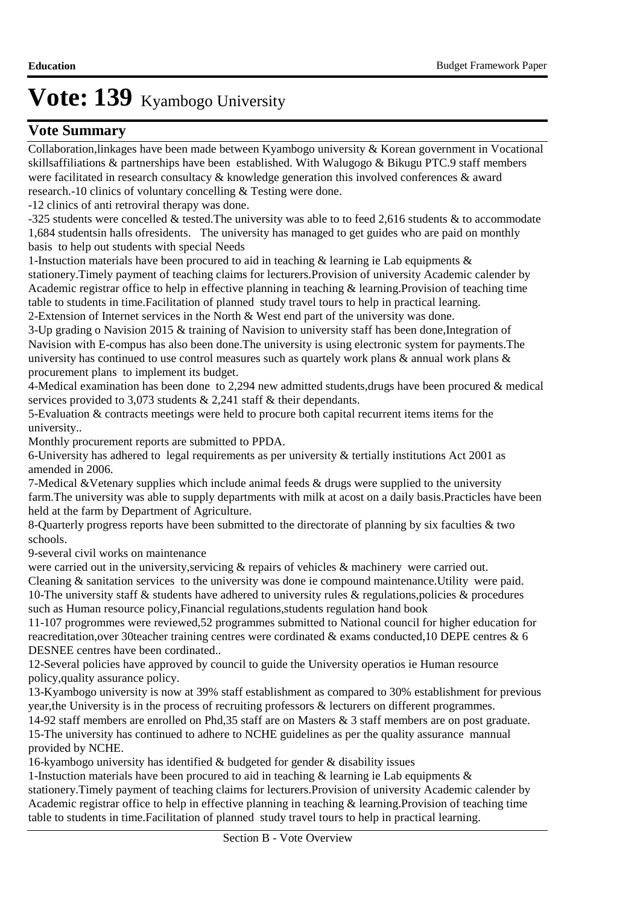### **Vote Summary**

Collaboration,linkages have been made between Kyambogo university & Korean government in Vocational skillsaffiliations & partnerships have been established. With Walugogo & Bikugu PTC.9 staff members were facilitated in research consultacy & knowledge generation this involved conferences & award research.-10 clinics of voluntary concelling & Testing were done.

-12 clinics of anti retroviral therapy was done.

-325 students were concelled & tested.The university was able to to feed 2,616 students & to accommodate 1,684 studentsin halls ofresidents. The university has managed to get guides who are paid on monthly basis to help out students with special Needs

1-Instuction materials have been procured to aid in teaching & learning ie Lab equipments & stationery.Timely payment of teaching claims for lecturers.Provision of university Academic calender by Academic registrar office to help in effective planning in teaching & learning.Provision of teaching time table to students in time.Facilitation of planned study travel tours to help in practical learning. 2-Extension of Internet services in the North & West end part of the university was done.

3-Up grading o Navision 2015 & training of Navision to university staff has been done,Integration of Navision with E-compus has also been done.The university is using electronic system for payments.The university has continued to use control measures such as quartely work plans & annual work plans & procurement plans to implement its budget.

4-Medical examination has been done to 2,294 new admitted students,drugs have been procured & medical services provided to 3,073 students & 2,241 staff & their dependants.

5-Evaluation & contracts meetings were held to procure both capital recurrent items items for the university..

Monthly procurement reports are submitted to PPDA.

6-University has adhered to legal requirements as per university & tertially institutions Act 2001 as amended in 2006.

7-Medical &Vetenary supplies which include animal feeds & drugs were supplied to the university farm.The university was able to supply departments with milk at acost on a daily basis.Practicles have been held at the farm by Department of Agriculture.

8-Quarterly progress reports have been submitted to the directorate of planning by six faculties & two schools.

9-several civil works on maintenance

were carried out in the university, servicing  $\&$  repairs of vehicles  $\&$  machinery were carried out.

Cleaning & sanitation services to the university was done ie compound maintenance.Utility were paid. 10-The university staff & students have adhered to university rules & regulations,policies & procedures such as Human resource policy,Financial regulations,students regulation hand book

11-107 progrommes were reviewed,52 programmes submitted to National council for higher education for reacreditation,over 30teacher training centres were cordinated & exams conducted,10 DEPE centres & 6 DESNEE centres have been cordinated..

12-Several policies have approved by council to guide the University operatios ie Human resource policy,quality assurance policy.

13-Kyambogo university is now at 39% staff establishment as compared to 30% establishment for previous year,the University is in the process of recruiting professors & lecturers on different programmes.

14-92 staff members are enrolled on Phd,35 staff are on Masters & 3 staff members are on post graduate. 15-The university has continued to adhere to NCHE guidelines as per the quality assurance mannual provided by NCHE.

16-kyambogo university has identified & budgeted for gender & disability issues

1-Instuction materials have been procured to aid in teaching & learning ie Lab equipments & stationery.Timely payment of teaching claims for lecturers.Provision of university Academic calender by Academic registrar office to help in effective planning in teaching & learning.Provision of teaching time table to students in time.Facilitation of planned study travel tours to help in practical learning.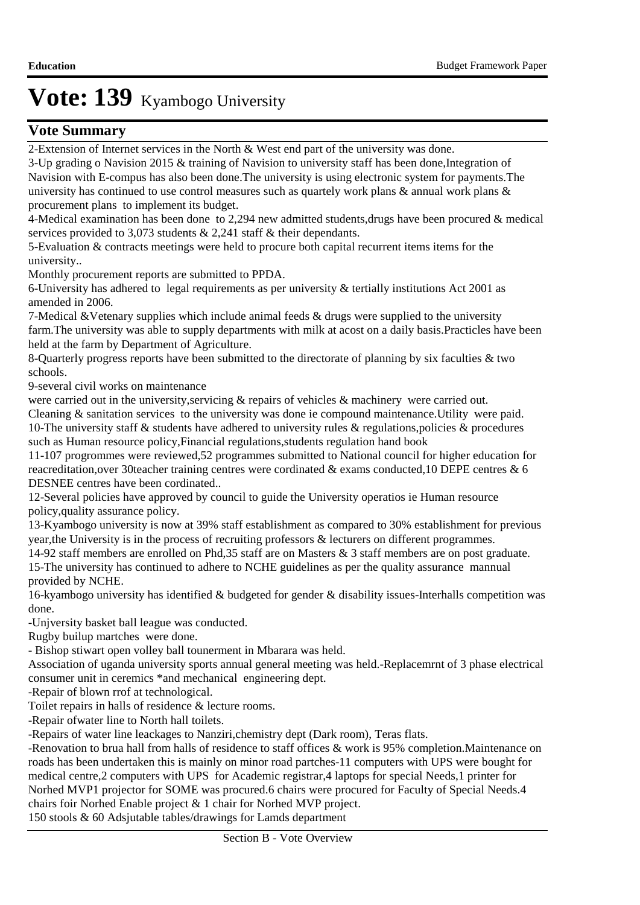### **Vote Summary**

2-Extension of Internet services in the North & West end part of the university was done.

3-Up grading o Navision 2015 & training of Navision to university staff has been done,Integration of Navision with E-compus has also been done.The university is using electronic system for payments.The university has continued to use control measures such as quartely work plans & annual work plans & procurement plans to implement its budget.

4-Medical examination has been done to 2,294 new admitted students,drugs have been procured & medical services provided to 3,073 students & 2,241 staff & their dependants.

5-Evaluation & contracts meetings were held to procure both capital recurrent items items for the university..

Monthly procurement reports are submitted to PPDA.

6-University has adhered to legal requirements as per university & tertially institutions Act 2001 as amended in 2006.

7-Medical &Vetenary supplies which include animal feeds & drugs were supplied to the university farm.The university was able to supply departments with milk at acost on a daily basis.Practicles have been held at the farm by Department of Agriculture.

8-Quarterly progress reports have been submitted to the directorate of planning by six faculties & two schools.

9-several civil works on maintenance

were carried out in the university, servicing  $\&$  repairs of vehicles  $\&$  machinery were carried out. Cleaning & sanitation services to the university was done ie compound maintenance.Utility were paid. 10-The university staff & students have adhered to university rules & regulations,policies & procedures such as Human resource policy,Financial regulations,students regulation hand book

11-107 progrommes were reviewed,52 programmes submitted to National council for higher education for reacreditation,over 30teacher training centres were cordinated & exams conducted,10 DEPE centres & 6 DESNEE centres have been cordinated..

12-Several policies have approved by council to guide the University operatios ie Human resource policy,quality assurance policy.

13-Kyambogo university is now at 39% staff establishment as compared to 30% establishment for previous year,the University is in the process of recruiting professors & lecturers on different programmes.

14-92 staff members are enrolled on Phd,35 staff are on Masters & 3 staff members are on post graduate.

15-The university has continued to adhere to NCHE guidelines as per the quality assurance mannual provided by NCHE.

16-kyambogo university has identified & budgeted for gender & disability issues-Interhalls competition was done.

-Unjversity basket ball league was conducted.

Rugby builup martches were done.

- Bishop stiwart open volley ball tounerment in Mbarara was held.

Association of uganda university sports annual general meeting was held.-Replacemrnt of 3 phase electrical consumer unit in ceremics \*and mechanical engineering dept.

-Repair of blown rrof at technological.

Toilet repairs in halls of residence & lecture rooms.

-Repair ofwater line to North hall toilets.

-Repairs of water line leackages to Nanziri,chemistry dept (Dark room), Teras flats.

-Renovation to brua hall from halls of residence to staff offices & work is 95% completion.Maintenance on roads has been undertaken this is mainly on minor road partches-11 computers with UPS were bought for medical centre,2 computers with UPS for Academic registrar,4 laptops for special Needs,1 printer for Norhed MVP1 projector for SOME was procured.6 chairs were procured for Faculty of Special Needs.4 chairs foir Norhed Enable project & 1 chair for Norhed MVP project.

150 stools & 60 Adsjutable tables/drawings for Lamds department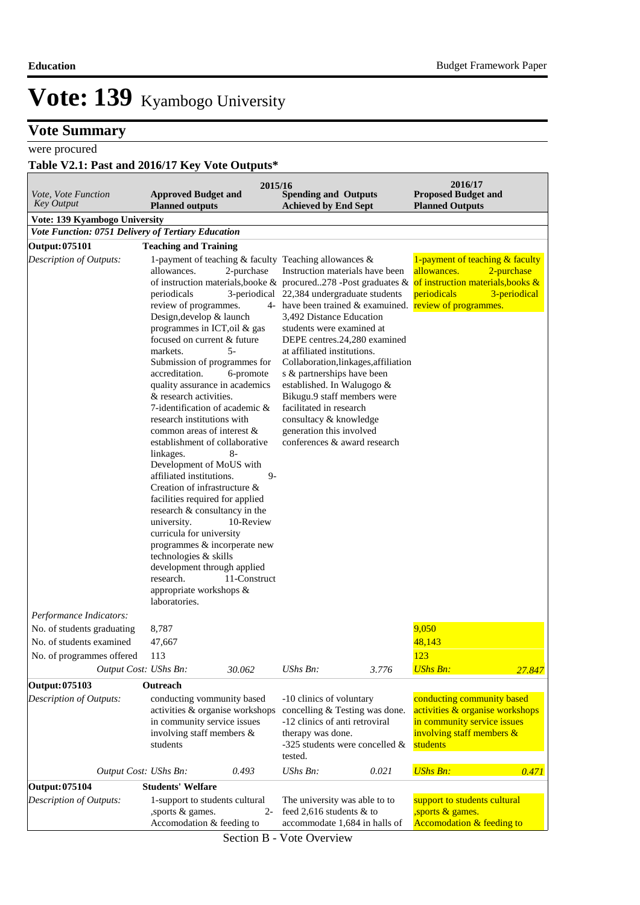## **Vote Summary**

were procured

# **Table V2.1: Past and 2016/17 Key Vote Outputs\***

|                                                        | 2015/16                                                                                                                                                                                                                                                                                                                                                                                                                                                                                                                                                                                                                                                                                                                                                                                                                                                                                                                |                                                                                                                                                                                                                                                                                                                                                                                                                                                                                                                                                                                                                                    | 2016/17                                                                                                                               |
|--------------------------------------------------------|------------------------------------------------------------------------------------------------------------------------------------------------------------------------------------------------------------------------------------------------------------------------------------------------------------------------------------------------------------------------------------------------------------------------------------------------------------------------------------------------------------------------------------------------------------------------------------------------------------------------------------------------------------------------------------------------------------------------------------------------------------------------------------------------------------------------------------------------------------------------------------------------------------------------|------------------------------------------------------------------------------------------------------------------------------------------------------------------------------------------------------------------------------------------------------------------------------------------------------------------------------------------------------------------------------------------------------------------------------------------------------------------------------------------------------------------------------------------------------------------------------------------------------------------------------------|---------------------------------------------------------------------------------------------------------------------------------------|
| Vote, Vote Function<br>Key Output                      | <b>Approved Budget and</b><br><b>Planned outputs</b>                                                                                                                                                                                                                                                                                                                                                                                                                                                                                                                                                                                                                                                                                                                                                                                                                                                                   | <b>Spending and Outputs</b><br><b>Achieved by End Sept</b>                                                                                                                                                                                                                                                                                                                                                                                                                                                                                                                                                                         | <b>Proposed Budget and</b><br><b>Planned Outputs</b>                                                                                  |
| Vote: 139 Kyambogo University                          |                                                                                                                                                                                                                                                                                                                                                                                                                                                                                                                                                                                                                                                                                                                                                                                                                                                                                                                        |                                                                                                                                                                                                                                                                                                                                                                                                                                                                                                                                                                                                                                    |                                                                                                                                       |
| Vote Function: 0751 Delivery of Tertiary Education     |                                                                                                                                                                                                                                                                                                                                                                                                                                                                                                                                                                                                                                                                                                                                                                                                                                                                                                                        |                                                                                                                                                                                                                                                                                                                                                                                                                                                                                                                                                                                                                                    |                                                                                                                                       |
| <b>Output: 075101</b>                                  | <b>Teaching and Training</b>                                                                                                                                                                                                                                                                                                                                                                                                                                                                                                                                                                                                                                                                                                                                                                                                                                                                                           |                                                                                                                                                                                                                                                                                                                                                                                                                                                                                                                                                                                                                                    |                                                                                                                                       |
| Description of Outputs:                                | 1-payment of teaching $&$ faculty Teaching allowances $&$<br>allowances.<br>2-purchase<br>periodicals<br>review of programmes.<br>Design, develop & launch<br>programmes in ICT, oil & gas<br>focused on current & future<br>5-<br>markets.<br>Submission of programmes for<br>accreditation.<br>6-promote<br>quality assurance in academics<br>& research activities.<br>7-identification of academic &<br>research institutions with<br>common areas of interest &<br>establishment of collaborative<br>8-<br>linkages.<br>Development of MoUS with<br>affiliated institutions.<br>$9-$<br>Creation of infrastructure &<br>facilities required for applied<br>research & consultancy in the<br>10-Review<br>university.<br>curricula for university<br>programmes & incorperate new<br>technologies & skills<br>development through applied<br>research.<br>11-Construct<br>appropriate workshops &<br>laboratories. | Instruction materials have been<br>of instruction materials, booke & procured278 -Post graduates & of instruction materials, books &<br>3-periodical 22,384 undergraduate students<br>4- have been trained $&$ examuined. <b>review of programmes.</b><br>3,492 Distance Education<br>students were examined at<br>DEPE centres.24,280 examined<br>at affiliated institutions.<br>Collaboration, linkages, affiliation<br>s & partnerships have been<br>established. In Walugogo &<br>Bikugu.9 staff members were<br>facilitated in research<br>consultacy & knowledge<br>generation this involved<br>conferences & award research | 1-payment of teaching & faculty<br>allowances.<br>2-purchase<br>3-periodical<br>periodicals                                           |
| Performance Indicators:                                |                                                                                                                                                                                                                                                                                                                                                                                                                                                                                                                                                                                                                                                                                                                                                                                                                                                                                                                        |                                                                                                                                                                                                                                                                                                                                                                                                                                                                                                                                                                                                                                    |                                                                                                                                       |
| No. of students graduating<br>No. of students examined | 8,787                                                                                                                                                                                                                                                                                                                                                                                                                                                                                                                                                                                                                                                                                                                                                                                                                                                                                                                  |                                                                                                                                                                                                                                                                                                                                                                                                                                                                                                                                                                                                                                    | 9,050                                                                                                                                 |
| No. of programmes offered                              | 47,667<br>113                                                                                                                                                                                                                                                                                                                                                                                                                                                                                                                                                                                                                                                                                                                                                                                                                                                                                                          |                                                                                                                                                                                                                                                                                                                                                                                                                                                                                                                                                                                                                                    | 48,143<br>123                                                                                                                         |
| Output Cost: UShs Bn:                                  | 30.062                                                                                                                                                                                                                                                                                                                                                                                                                                                                                                                                                                                                                                                                                                                                                                                                                                                                                                                 | UShs Bn:<br>3.776                                                                                                                                                                                                                                                                                                                                                                                                                                                                                                                                                                                                                  | <b>UShs Bn:</b><br>27.847                                                                                                             |
|                                                        |                                                                                                                                                                                                                                                                                                                                                                                                                                                                                                                                                                                                                                                                                                                                                                                                                                                                                                                        |                                                                                                                                                                                                                                                                                                                                                                                                                                                                                                                                                                                                                                    |                                                                                                                                       |
| Output: 075103<br>Description of Outputs:              | Outreach<br>conducting vommunity based<br>activities & organise workshops<br>in community service issues<br>involving staff members &<br>students                                                                                                                                                                                                                                                                                                                                                                                                                                                                                                                                                                                                                                                                                                                                                                      | -10 clinics of voluntary<br>concelling & Testing was done.<br>-12 clinics of anti retroviral<br>therapy was done.<br>-325 students were concelled $&$<br>tested.                                                                                                                                                                                                                                                                                                                                                                                                                                                                   | conducting community based<br>activities & organise workshops<br>in community service issues<br>involving staff members &<br>students |
| Output Cost: UShs Bn:                                  | 0.493                                                                                                                                                                                                                                                                                                                                                                                                                                                                                                                                                                                                                                                                                                                                                                                                                                                                                                                  | UShs Bn:<br>0.021                                                                                                                                                                                                                                                                                                                                                                                                                                                                                                                                                                                                                  | <b>UShs Bn:</b><br>0.471                                                                                                              |
| <b>Output: 075104</b>                                  | <b>Students' Welfare</b>                                                                                                                                                                                                                                                                                                                                                                                                                                                                                                                                                                                                                                                                                                                                                                                                                                                                                               |                                                                                                                                                                                                                                                                                                                                                                                                                                                                                                                                                                                                                                    |                                                                                                                                       |
| Description of Outputs:                                | 1-support to students cultural<br>$2 -$<br>, sports & games.<br>Accomodation & feeding to                                                                                                                                                                                                                                                                                                                                                                                                                                                                                                                                                                                                                                                                                                                                                                                                                              | The university was able to to<br>feed 2,616 students & to<br>accommodate 1,684 in halls of                                                                                                                                                                                                                                                                                                                                                                                                                                                                                                                                         | support to students cultural<br>sports & games.<br><b>Accomodation &amp; feeding to</b>                                               |

Section B - Vote Overview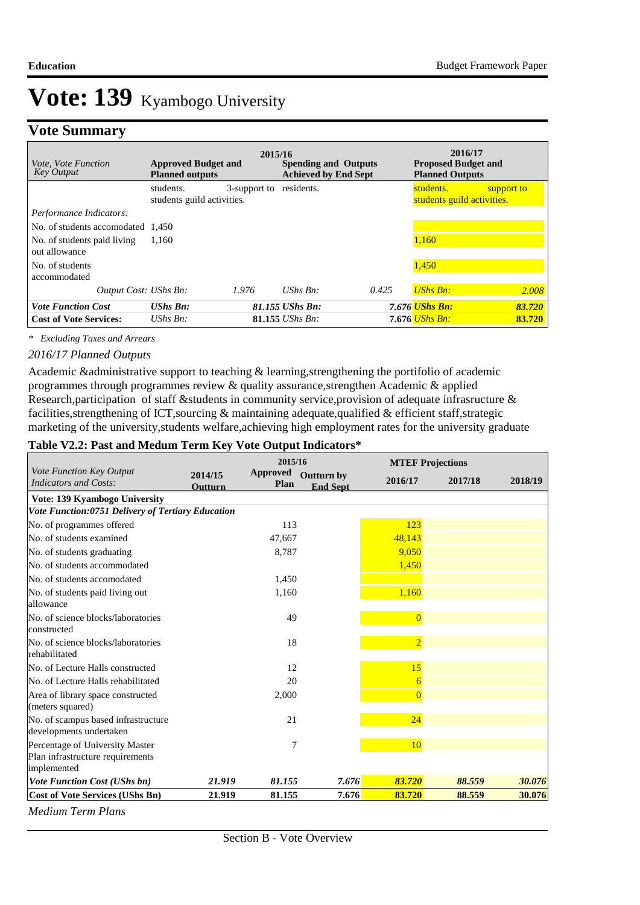## **Vote Summary**

| <i>Vote. Vote Function</i><br>Key Output     | <b>Approved Budget and</b><br><b>Planned outputs</b> | 2015/16      | <b>Spending and Outputs</b><br><b>Achieved by End Sept</b> |       | 2016/17<br><b>Proposed Budget and</b><br><b>Planned Outputs</b> |            |
|----------------------------------------------|------------------------------------------------------|--------------|------------------------------------------------------------|-------|-----------------------------------------------------------------|------------|
|                                              | students.                                            | 3-support to | residents.                                                 |       | students.                                                       | support to |
|                                              | students guild activities.                           |              |                                                            |       | students guild activities.                                      |            |
| Performance Indicators:                      |                                                      |              |                                                            |       |                                                                 |            |
| No. of students accomodated 1.450            |                                                      |              |                                                            |       |                                                                 |            |
| No. of students paid living<br>out allowance | 1.160                                                |              |                                                            |       | 1,160                                                           |            |
| No. of students                              |                                                      |              |                                                            |       | 1,450                                                           |            |
| accommodated                                 |                                                      |              |                                                            |       |                                                                 |            |
| Output Cost: UShs Bn:                        |                                                      | 1.976        | UShs $Bn$ :                                                | 0.425 | <b>UShs Bn:</b>                                                 | 2.008      |
| <b>Vote Function Cost</b>                    | <b>UShs Bn:</b>                                      |              | 81.155 UShs Bn:                                            |       | 7.676 <mark>UShs Bn:</mark>                                     | 83.720     |
| <b>Cost of Vote Services:</b>                | UShs $Bn$ :                                          |              | $81.155$ UShs Bn:                                          |       | 7.676 <i>UShs Bn:</i>                                           | 83.720     |

*\* Excluding Taxes and Arrears*

#### *2016/17 Planned Outputs*

Academic &administrative support to teaching & learning,strengthening the portifolio of academic programmes through programmes review & quality assurance,strengthen Academic & applied Research,participation of staff &students in community service,provision of adequate infrasructure & facilities,strengthening of ICT,sourcing & maintaining adequate,qualified & efficient staff,strategic marketing of the university,students welfare,achieving high employment rates for the university graduate

#### **Table V2.2: Past and Medum Term Key Vote Output Indicators\***

|                                                                                    |                           | 2015/16                 |                                      | <b>MTEF Projections</b> |         |         |
|------------------------------------------------------------------------------------|---------------------------|-------------------------|--------------------------------------|-------------------------|---------|---------|
| Vote Function Key Output<br><b>Indicators and Costs:</b>                           | 2014/15<br><b>Outturn</b> | <b>Approved</b><br>Plan | <b>Outturn by</b><br><b>End Sept</b> | 2016/17                 | 2017/18 | 2018/19 |
| Vote: 139 Kyambogo University                                                      |                           |                         |                                      |                         |         |         |
| Vote Function:0751 Delivery of Tertiary Education                                  |                           |                         |                                      |                         |         |         |
| No. of programmes offered                                                          |                           | 113                     |                                      | 123                     |         |         |
| No. of students examined                                                           |                           | 47,667                  |                                      | 48,143                  |         |         |
| No. of students graduating                                                         |                           | 8,787                   |                                      | 9.050                   |         |         |
| No. of students accommodated                                                       |                           |                         |                                      | 1,450                   |         |         |
| No. of students accomodated                                                        |                           | 1,450                   |                                      |                         |         |         |
| No. of students paid living out<br>allowance                                       |                           | 1,160                   |                                      | 1,160                   |         |         |
| No. of science blocks/laboratories<br>constructed                                  |                           | 49                      |                                      | $\overline{0}$          |         |         |
| No. of science blocks/laboratories<br>rehabilitated                                |                           | 18                      |                                      | $\overline{2}$          |         |         |
| No. of Lecture Halls constructed                                                   |                           | 12                      |                                      | 15                      |         |         |
| No. of Lecture Halls rehabilitated                                                 |                           | 20                      |                                      | 6                       |         |         |
| Area of library space constructed<br>(meters squared)                              |                           | 2,000                   |                                      | $\overline{0}$          |         |         |
| No. of scampus based infrastructure<br>developments undertaken                     |                           | 21                      |                                      | 24                      |         |         |
| Percentage of University Master<br>Plan infrastructure requirements<br>implemented |                           | 7                       |                                      | 10                      |         |         |
| <b>Vote Function Cost (UShs bn)</b>                                                | 21.919                    | 81.155                  | 7.676                                | 83.720                  | 88.559  | 30.076  |
| <b>Cost of Vote Services (UShs Bn)</b>                                             | 21.919                    | 81.155                  | 7.676                                | 83.720                  | 88.559  | 30.076  |

*Medium Term Plans*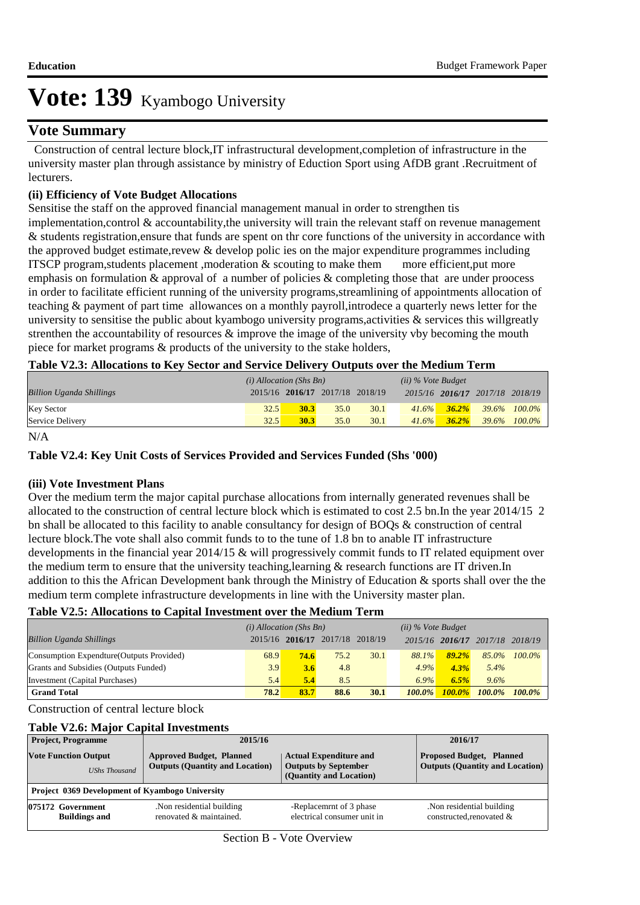### $V$ ote Summary

 Construction of central lecture block,IT infrastructural development,completion of infrastructure in the university master plan through assistance by ministry of Eduction Sport using AfDB grant .Recruitment of lecturers.

#### **(ii) Efficiency of Vote Budget Allocations**

Sensitise the staff on the approved financial management manual in order to strengthen tis implementation,control & accountability,the university will train the relevant staff on revenue management & students registration,ensure that funds are spent on thr core functions of the university in accordance with the approved budget estimate,revew & develop polic ies on the major expenditure programmes including ITSCP program, students placement, moderation  $\&$  scouting to make them more efficient, put more emphasis on formulation  $\&$  approval of a number of policies  $\&$  completing those that are under proocess in order to facilitate efficient running of the university programs,streamlining of appointments allocation of teaching & payment of part time allowances on a monthly payroll,introdece a quarterly news letter for the university to sensitise the public about kyambogo university programs, activities  $\&$  services this willgreatly strenthen the accountability of resources & improve the image of the university vby becoming the mouth piece for market programs & products of the university to the stake holders,

#### **Table V2.3: Allocations to Key Sector and Service Delivery Outputs over the Medium Term**

|                                 | $(i)$ Allocation (Shs Bn) |                                 |      | $(ii)$ % Vote Budget |          |                   |                                 |                    |
|---------------------------------|---------------------------|---------------------------------|------|----------------------|----------|-------------------|---------------------------------|--------------------|
| <b>Billion Uganda Shillings</b> |                           | 2015/16 2016/17 2017/18 2018/19 |      |                      |          |                   | 2015/16 2016/17 2017/18 2018/19 |                    |
| <b>Key Sector</b>               | 32.5                      | 30.3                            | 35.0 | 30.1                 |          | $41.6\%$ $36.2\%$ |                                 | $39.6\%$ $100.0\%$ |
| Service Delivery                | 32.5                      | 30.3                            | 35.0 | 30.1                 | $41.6\%$ | $\sqrt{36.2\%}$   |                                 | $39.6\%$ $100.0\%$ |

N/A

#### **Table V2.4: Key Unit Costs of Services Provided and Services Funded (Shs '000)**

#### **(iii) Vote Investment Plans**

Over the medium term the major capital purchase allocations from internally generated revenues shall be allocated to the construction of central lecture block which is estimated to cost 2.5 bn.In the year 2014/15 2 bn shall be allocated to this facility to anable consultancy for design of BOQs & construction of central lecture block.The vote shall also commit funds to to the tune of 1.8 bn to anable IT infrastructure developments in the financial year 2014/15 & will progressively commit funds to IT related equipment over the medium term to ensure that the university teaching,learning & research functions are IT driven.In addition to this the African Development bank through the Ministry of Education & sports shall over the the medium term complete infrastructure developments in line with the University master plan.

#### **Table V2.5: Allocations to Capital Investment over the Medium Term**

|                                           | $(i)$ Allocation (Shs Bn) |      |                                 | $(ii)$ % Vote Budget |           |                 |           |           |
|-------------------------------------------|---------------------------|------|---------------------------------|----------------------|-----------|-----------------|-----------|-----------|
| <b>Billion Uganda Shillings</b>           |                           |      | 2015/16 2016/17 2017/18 2018/19 |                      |           | 2015/16 2016/17 | 2017/18   | 2018/19   |
| Consumption Expendture (Outputs Provided) | 68.9                      | 74.6 | 75.2                            | 30.1                 | 88.1%     | $89.2\%$        | 85.0%     | $100.0\%$ |
| Grants and Subsidies (Outputs Funded)     | 3.9                       | 3.6  | 4.8                             |                      | 4.9%      | 4.3%            | $5.4\%$   |           |
| Investment (Capital Purchases)            | 5.4                       | 5.4  | 8.5                             |                      | 6.9%      | 6.5%            | $9.6\%$   |           |
| <b>Grand Total</b>                        | 78.2                      | 83.7 | 88.6                            | 30.1                 | $100.0\%$ | <b>100.0%</b>   | $100.0\%$ | $100.0\%$ |

#### Construction of central lecture block

#### **Table V2.6: Major Capital Investments**

| <b>Project, Programme</b>                              | 2015/16                                                                   |                                                                                                                                                                      | 2016/17                                              |
|--------------------------------------------------------|---------------------------------------------------------------------------|----------------------------------------------------------------------------------------------------------------------------------------------------------------------|------------------------------------------------------|
| <b>Vote Function Output</b><br><b>UShs Thousand</b>    | <b>Approved Budget, Planned</b><br><b>Outputs (Quantity and Location)</b> | <b>Proposed Budget, Planned</b><br><b>Actual Expenditure and</b><br><b>Outputs (Quantity and Location)</b><br><b>Outputs by September</b><br>(Quantity and Location) |                                                      |
| <b>Project 0369 Development of Kyambogo University</b> |                                                                           |                                                                                                                                                                      |                                                      |
| 075172 Government<br><b>Buildings and</b>              | Non residential building.<br>renovated & maintained.                      | -Replacement of 3 phase<br>electrical consumer unit in                                                                                                               | Non residential building.<br>constructed.renovated & |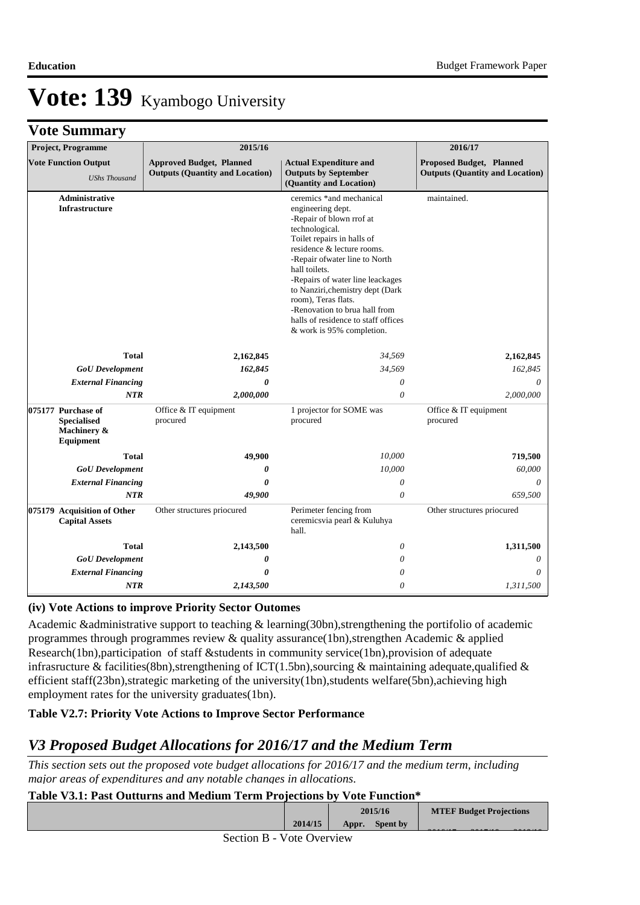### **Vote Summary**

|                                         | <b>Project, Programme</b>                                            | 2015/16                                                                   | 2016/17                                                                                                                                                                                                                                                                                                                                                                                                       |                                                                           |
|-----------------------------------------|----------------------------------------------------------------------|---------------------------------------------------------------------------|---------------------------------------------------------------------------------------------------------------------------------------------------------------------------------------------------------------------------------------------------------------------------------------------------------------------------------------------------------------------------------------------------------------|---------------------------------------------------------------------------|
|                                         | <b>Vote Function Output</b><br><b>UShs Thousand</b>                  | <b>Approved Budget, Planned</b><br><b>Outputs (Quantity and Location)</b> | <b>Actual Expenditure and</b><br><b>Outputs by September</b><br>(Quantity and Location)                                                                                                                                                                                                                                                                                                                       | <b>Proposed Budget, Planned</b><br><b>Outputs (Quantity and Location)</b> |
| Administrative<br><b>Infrastructure</b> |                                                                      |                                                                           | ceremics *and mechanical<br>engineering dept.<br>-Repair of blown rrof at<br>technological.<br>Toilet repairs in halls of<br>residence & lecture rooms.<br>-Repair ofwater line to North<br>hall toilets.<br>-Repairs of water line leackages<br>to Nanziri, chemistry dept (Dark<br>room), Teras flats.<br>-Renovation to brua hall from<br>halls of residence to staff offices<br>& work is 95% completion. | maintained.                                                               |
|                                         | <b>Total</b>                                                         | 2,162,845                                                                 | 34,569                                                                                                                                                                                                                                                                                                                                                                                                        | 2,162,845                                                                 |
|                                         | <b>GoU</b> Development                                               | 162,845                                                                   | 34,569                                                                                                                                                                                                                                                                                                                                                                                                        | 162,845                                                                   |
|                                         | <b>External Financing</b>                                            | $\theta$                                                                  | $\theta$                                                                                                                                                                                                                                                                                                                                                                                                      | 0                                                                         |
|                                         | NTR                                                                  | 2,000,000                                                                 | $\theta$                                                                                                                                                                                                                                                                                                                                                                                                      | 2,000,000                                                                 |
|                                         | 075177 Purchase of<br><b>Specialised</b><br>Machinery &<br>Equipment | Office & IT equipment<br>procured                                         | 1 projector for SOME was<br>procured                                                                                                                                                                                                                                                                                                                                                                          | Office & IT equipment<br>procured                                         |
|                                         | <b>Total</b>                                                         | 49,900                                                                    | 10,000                                                                                                                                                                                                                                                                                                                                                                                                        | 719,500                                                                   |
|                                         | <b>GoU</b> Development                                               | 0                                                                         | 10,000                                                                                                                                                                                                                                                                                                                                                                                                        | 60,000                                                                    |
|                                         | <b>External Financing</b>                                            | 0                                                                         | 0                                                                                                                                                                                                                                                                                                                                                                                                             | $\theta$                                                                  |
|                                         | NTR                                                                  | 49,900                                                                    | 0                                                                                                                                                                                                                                                                                                                                                                                                             | 659,500                                                                   |
|                                         | 075179 Acquisition of Other<br><b>Capital Assets</b>                 | Other structures priocured                                                | Perimeter fencing from<br>ceremicsvia pearl & Kuluhya<br>hall.                                                                                                                                                                                                                                                                                                                                                | Other structures priocured                                                |
|                                         | <b>Total</b>                                                         | 2,143,500                                                                 | 0                                                                                                                                                                                                                                                                                                                                                                                                             | 1,311,500                                                                 |
|                                         | <b>GoU</b> Development                                               | 0                                                                         | 0                                                                                                                                                                                                                                                                                                                                                                                                             | 0                                                                         |
|                                         | <b>External Financing</b>                                            | 0                                                                         | 0                                                                                                                                                                                                                                                                                                                                                                                                             | 0                                                                         |
|                                         | <b>NTR</b>                                                           | 2,143,500                                                                 | 0                                                                                                                                                                                                                                                                                                                                                                                                             | 1,311,500                                                                 |

#### **(iv) Vote Actions to improve Priority Sector Outomes**

Academic &administrative support to teaching & learning(30bn),strengthening the portifolio of academic programmes through programmes review & quality assurance(1bn),strengthen Academic & applied Research(1bn),participation of staff &students in community service(1bn),provision of adequate infrasructure & facilities(8bn), strengthening of ICT(1.5bn), sourcing & maintaining adequate, qualified & efficient staff(23bn),strategic marketing of the university(1bn),students welfare(5bn),achieving high employment rates for the university graduates(1bn).

#### **Table V2.7: Priority Vote Actions to Improve Sector Performance**

### *V3 Proposed Budget Allocations for 2016/17 and the Medium Term*

*This section sets out the proposed vote budget allocations for 2016/17 and the medium term, including major areas of expenditures and any notable changes in allocations.* 

#### **Table V3.1: Past Outturns and Medium Term Projections by Vote Function\***

|                                                                           |         | 2015/16        | <b>MTEF Budget Projections</b> |
|---------------------------------------------------------------------------|---------|----------------|--------------------------------|
|                                                                           | 2014/15 | Appr. Spent by |                                |
| $\Gamma_{\text{action}}$ $D$ $V_{\text{oto}}$ $\Omega_{\text{vortivity}}$ |         |                |                                |

**Section B - Vote Overview**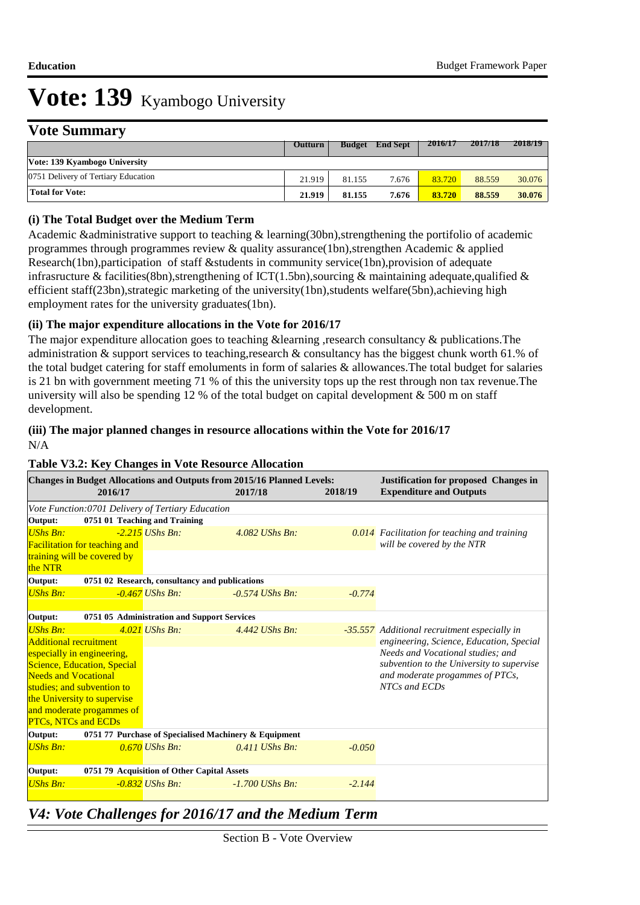### **Vote Summary**

|                                     | <b>Outturn</b> |        | <b>Budget</b> End Sept | 2016/17 | 2017/18 | 2018/19 |
|-------------------------------------|----------------|--------|------------------------|---------|---------|---------|
| Vote: 139 Kyambogo University       |                |        |                        |         |         |         |
| 0751 Delivery of Tertiary Education | 21.919         | 81.155 | 7.676                  | 83.720  | 88.559  | 30.076  |
| Total for Vote:                     | 21.919         | 81.155 | 7.676                  | 83.720  | 88.559  | 30.076  |

#### **(i) The Total Budget over the Medium Term**

Academic &administrative support to teaching & learning(30bn),strengthening the portifolio of academic programmes through programmes review & quality assurance(1bn),strengthen Academic & applied Research(1bn),participation of staff &students in community service(1bn),provision of adequate infrasructure & facilities(8bn), strengthening of ICT(1.5bn), sourcing & maintaining adequate, qualified & efficient staff(23bn),strategic marketing of the university(1bn),students welfare(5bn),achieving high employment rates for the university graduates(1bn).

#### **(ii) The major expenditure allocations in the Vote for 2016/17**

The major expenditure allocation goes to teaching &learning ,research consultancy & publications.The administration & support services to teaching,research & consultancy has the biggest chunk worth 61.% of the total budget catering for staff emoluments in form of salaries & allowances.The total budget for salaries is 21 bn with government meeting 71 % of this the university tops up the rest through non tax revenue.The university will also be spending 12 % of the total budget on capital development  $\&$  500 m on staff development.

#### **(iii) The major planned changes in resource allocations within the Vote for 2016/17** N/A

#### **Table V3.2: Key Changes in Vote Resource Allocation**

|                               | 2016/17                              |                                                       | <b>Changes in Budget Allocations and Outputs from 2015/16 Planned Levels:</b><br>2017/18 | 2018/19  | <b>Justification for proposed Changes in</b><br><b>Expenditure and Outputs</b> |
|-------------------------------|--------------------------------------|-------------------------------------------------------|------------------------------------------------------------------------------------------|----------|--------------------------------------------------------------------------------|
|                               |                                      | Vote Function:0701 Delivery of Tertiary Education     |                                                                                          |          |                                                                                |
| Output:                       |                                      | 0751 01 Teaching and Training                         |                                                                                          |          |                                                                                |
| <b>UShs Bn:</b>               |                                      | $-2.215$ UShs Bn:                                     | $4.082$ UShs Bn:                                                                         |          | <b>0.014</b> Facilitation for teaching and training                            |
|                               | <b>Facilitation for teaching and</b> |                                                       |                                                                                          |          | will be covered by the NTR                                                     |
|                               | training will be covered by          |                                                       |                                                                                          |          |                                                                                |
| the NTR                       |                                      |                                                       |                                                                                          |          |                                                                                |
| Output:                       |                                      | 0751 02 Research, consultancy and publications        |                                                                                          |          |                                                                                |
| <b>UShs Bn:</b>               |                                      | $-0.467$ UShs Bn:                                     | $-0.574$ UShs Bn:                                                                        | $-0.774$ |                                                                                |
|                               |                                      |                                                       |                                                                                          |          |                                                                                |
| Output:                       |                                      | 0751 05 Administration and Support Services           |                                                                                          |          |                                                                                |
| <b>UShs Bn:</b>               |                                      | $4.021$ UShs Bn:                                      | $4.442$ UShs Bn.                                                                         |          | -35.557 Additional recruitment especially in                                   |
| <b>Additional recruitment</b> |                                      |                                                       |                                                                                          |          | engineering, Science, Education, Special                                       |
| especially in engineering,    |                                      |                                                       |                                                                                          |          | Needs and Vocational studies: and                                              |
|                               | Science, Education, Special          |                                                       |                                                                                          |          | subvention to the University to supervise                                      |
| <b>Needs and Vocational</b>   |                                      |                                                       |                                                                                          |          | and moderate progammes of PTCs,                                                |
|                               | studies; and subvention to           |                                                       |                                                                                          |          | NTCs and ECDs                                                                  |
|                               | the University to supervise          |                                                       |                                                                                          |          |                                                                                |
|                               | and moderate progammes of            |                                                       |                                                                                          |          |                                                                                |
| <b>PTCs, NTCs and ECDs</b>    |                                      |                                                       |                                                                                          |          |                                                                                |
| Output:                       |                                      | 0751 77 Purchase of Specialised Machinery & Equipment |                                                                                          |          |                                                                                |
| <b>UShs Bn:</b>               |                                      | $0.670$ UShs Bn:                                      | $0.411$ UShs Bn:                                                                         | $-0.050$ |                                                                                |
| Output:                       |                                      | 0751 79 Acquisition of Other Capital Assets           |                                                                                          |          |                                                                                |
| <b>UShs Bn:</b>               |                                      | $-0.832$ UShs Bn:                                     | $-1.700$ UShs Bn:                                                                        | $-2.144$ |                                                                                |

### *V4: Vote Challenges for 2016/17 and the Medium Term*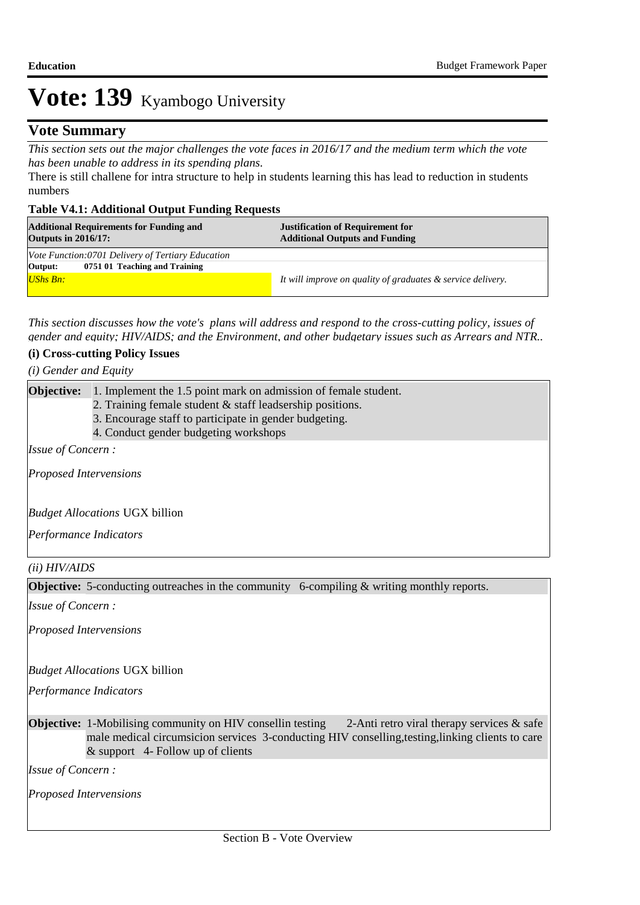### **Vote Summary**

*This section sets out the major challenges the vote faces in 2016/17 and the medium term which the vote has been unable to address in its spending plans.*

There is still challene for intra structure to help in students learning this has lead to reduction in students numbers

#### **Table V4.1: Additional Output Funding Requests**

| <b>Additional Requirements for Funding and</b><br><b>Outputs in 2016/17:</b> | <b>Justification of Requirement for</b><br><b>Additional Outputs and Funding</b> |  |  |  |  |
|------------------------------------------------------------------------------|----------------------------------------------------------------------------------|--|--|--|--|
| <i>Vote Function:0701 Delivery of Tertiary Education</i>                     |                                                                                  |  |  |  |  |
| 0751 01 Teaching and Training<br>Output:                                     |                                                                                  |  |  |  |  |
| UShs Bn:                                                                     | It will improve on quality of graduates & service delivery.                      |  |  |  |  |
|                                                                              |                                                                                  |  |  |  |  |

*This section discusses how the vote's plans will address and respond to the cross-cutting policy, issues of gender and equity; HIV/AIDS; and the Environment, and other budgetary issues such as Arrears and NTR..* 

#### **(i) Cross-cutting Policy Issues**

| (i) Gender and Equity    |                                                                                                                                                                                                                                                             |  |  |  |  |  |  |
|--------------------------|-------------------------------------------------------------------------------------------------------------------------------------------------------------------------------------------------------------------------------------------------------------|--|--|--|--|--|--|
| Objective:               | 1. Implement the 1.5 point mark on admission of female student.<br>2. Training female student $&$ staff leadsership positions.<br>3. Encourage staff to participate in gender budgeting.<br>4. Conduct gender budgeting workshops                           |  |  |  |  |  |  |
| Issue of Concern:        |                                                                                                                                                                                                                                                             |  |  |  |  |  |  |
|                          | <b>Proposed Intervensions</b>                                                                                                                                                                                                                               |  |  |  |  |  |  |
|                          | <b>Budget Allocations UGX billion</b>                                                                                                                                                                                                                       |  |  |  |  |  |  |
|                          | Performance Indicators                                                                                                                                                                                                                                      |  |  |  |  |  |  |
| (ii) HIV/AIDS            |                                                                                                                                                                                                                                                             |  |  |  |  |  |  |
|                          | <b>Objective:</b> 5-conducting outreaches in the community 6-compiling $\&$ writing monthly reports.                                                                                                                                                        |  |  |  |  |  |  |
| <b>Issue of Concern:</b> |                                                                                                                                                                                                                                                             |  |  |  |  |  |  |
|                          | <b>Proposed Intervensions</b>                                                                                                                                                                                                                               |  |  |  |  |  |  |
|                          | <b>Budget Allocations UGX billion</b>                                                                                                                                                                                                                       |  |  |  |  |  |  |
|                          | Performance Indicators                                                                                                                                                                                                                                      |  |  |  |  |  |  |
|                          | <b>Objective:</b> 1-Mobilising community on HIV consellin testing<br>2-Anti retro viral therapy services $\&$ safe<br>male medical circumsicion services 3-conducting HIV conselling, testing, linking clients to care<br>& support 4- Follow up of clients |  |  |  |  |  |  |
| Issue of Concern:        |                                                                                                                                                                                                                                                             |  |  |  |  |  |  |

*Proposed Intervensions*